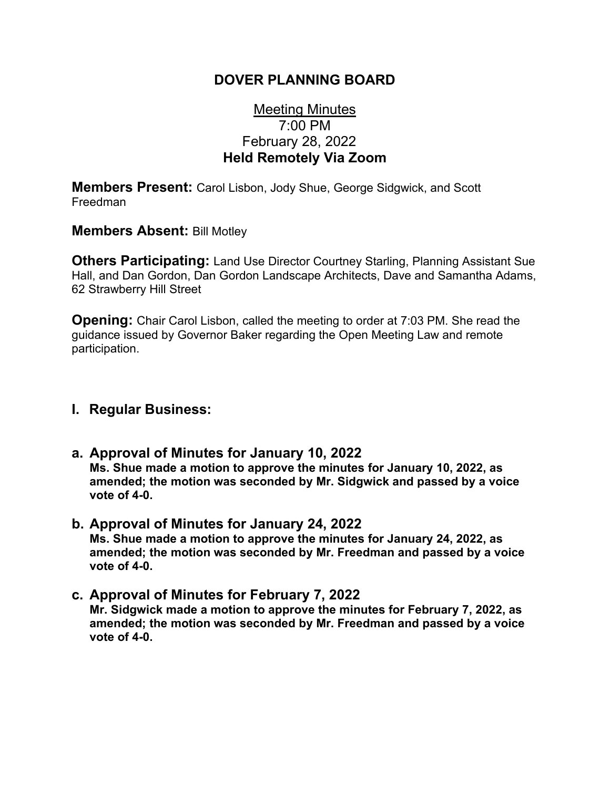### **DOVER PLANNING BOARD**

# Meeting Minutes 7:00 PM February 28, 2022 **Held Remotely Via Zoom**

**Members Present:** Carol Lisbon, Jody Shue, George Sidgwick, and Scott Freedman

**Members Absent:** Bill Motley

**Others Participating:** Land Use Director Courtney Starling, Planning Assistant Sue Hall, and Dan Gordon, Dan Gordon Landscape Architects, Dave and Samantha Adams, 62 Strawberry Hill Street

**Opening:** Chair Carol Lisbon, called the meeting to order at 7:03 PM. She read the guidance issued by Governor Baker regarding the Open Meeting Law and remote participation.

#### **I. Regular Business:**

- **a. Approval of Minutes for January 10, 2022 Ms. Shue made a motion to approve the minutes for January 10, 2022, as amended; the motion was seconded by Mr. Sidgwick and passed by a voice vote of 4-0.**
- **b. Approval of Minutes for January 24, 2022 Ms. Shue made a motion to approve the minutes for January 24, 2022, as amended; the motion was seconded by Mr. Freedman and passed by a voice vote of 4-0.**
- **c. Approval of Minutes for February 7, 2022 Mr. Sidgwick made a motion to approve the minutes for February 7, 2022, as amended; the motion was seconded by Mr. Freedman and passed by a voice vote of 4-0.**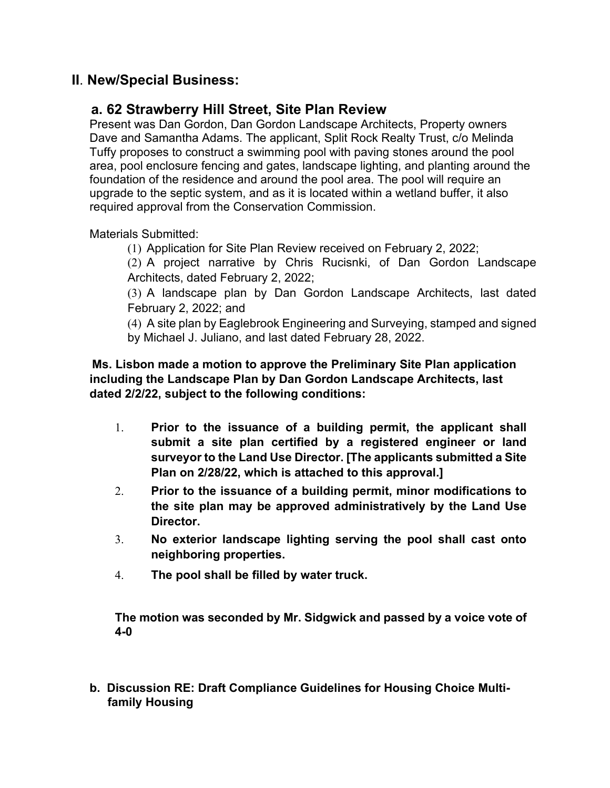# **II**. **New/Special Business:**

### **a. 62 Strawberry Hill Street, Site Plan Review**

Present was Dan Gordon, Dan Gordon Landscape Architects, Property owners Dave and Samantha Adams. The applicant, Split Rock Realty Trust, c/o Melinda Tuffy proposes to construct a swimming pool with paving stones around the pool area, pool enclosure fencing and gates, landscape lighting, and planting around the foundation of the residence and around the pool area. The pool will require an upgrade to the septic system, and as it is located within a wetland buffer, it also required approval from the Conservation Commission.

Materials Submitted:

(1) Application for Site Plan Review received on February 2, 2022;

(2) A project narrative by Chris Rucisnki, of Dan Gordon Landscape Architects, dated February 2, 2022;

(3) A landscape plan by Dan Gordon Landscape Architects, last dated February 2, 2022; and

(4) A site plan by Eaglebrook Engineering and Surveying, stamped and signed by Michael J. Juliano, and last dated February 28, 2022.

**Ms. Lisbon made a motion to approve the Preliminary Site Plan application including the Landscape Plan by Dan Gordon Landscape Architects, last dated 2/2/22, subject to the following conditions:**

- 1. **Prior to the issuance of a building permit, the applicant shall submit a site plan certified by a registered engineer or land surveyor to the Land Use Director. [The applicants submitted a Site Plan on 2/28/22, which is attached to this approval.]**
- 2. **Prior to the issuance of a building permit, minor modifications to the site plan may be approved administratively by the Land Use Director.**
- 3. **No exterior landscape lighting serving the pool shall cast onto neighboring properties.**
- 4. **The pool shall be filled by water truck.**

**The motion was seconded by Mr. Sidgwick and passed by a voice vote of 4-0**

**b. Discussion RE: Draft Compliance Guidelines for Housing Choice Multifamily Housing**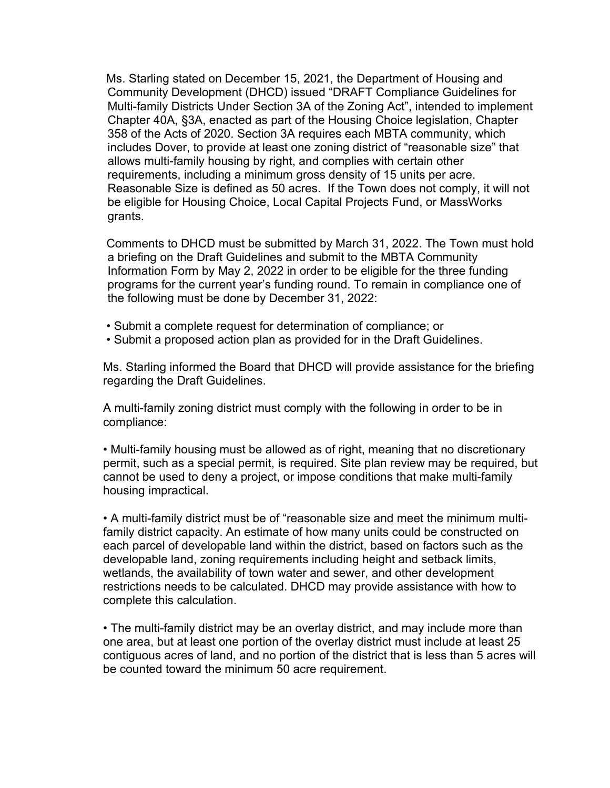Ms. Starling stated on December 15, 2021, the Department of Housing and Community Development (DHCD) issued "DRAFT Compliance Guidelines for Multi-family Districts Under Section 3A of the Zoning Act", intended to implement Chapter 40A, §3A, enacted as part of the Housing Choice legislation, Chapter 358 of the Acts of 2020. Section 3A requires each MBTA community, which includes Dover, to provide at least one zoning district of "reasonable size" that allows multi-family housing by right, and complies with certain other requirements, including a minimum gross density of 15 units per acre. Reasonable Size is defined as 50 acres. If the Town does not comply, it will not be eligible for Housing Choice, Local Capital Projects Fund, or MassWorks grants.

Comments to DHCD must be submitted by March 31, 2022. The Town must hold a briefing on the Draft Guidelines and submit to the MBTA Community Information Form by May 2, 2022 in order to be eligible for the three funding programs for the current year's funding round. To remain in compliance one of the following must be done by December 31, 2022:

- Submit a complete request for determination of compliance; or
- Submit a proposed action plan as provided for in the Draft Guidelines.

Ms. Starling informed the Board that DHCD will provide assistance for the briefing regarding the Draft Guidelines.

A multi-family zoning district must comply with the following in order to be in compliance:

• Multi-family housing must be allowed as of right, meaning that no discretionary permit, such as a special permit, is required. Site plan review may be required, but cannot be used to deny a project, or impose conditions that make multi-family housing impractical.

• A multi-family district must be of "reasonable size and meet the minimum multifamily district capacity. An estimate of how many units could be constructed on each parcel of developable land within the district, based on factors such as the developable land, zoning requirements including height and setback limits, wetlands, the availability of town water and sewer, and other development restrictions needs to be calculated. DHCD may provide assistance with how to complete this calculation.

• The multi-family district may be an overlay district, and may include more than one area, but at least one portion of the overlay district must include at least 25 contiguous acres of land, and no portion of the district that is less than 5 acres will be counted toward the minimum 50 acre requirement.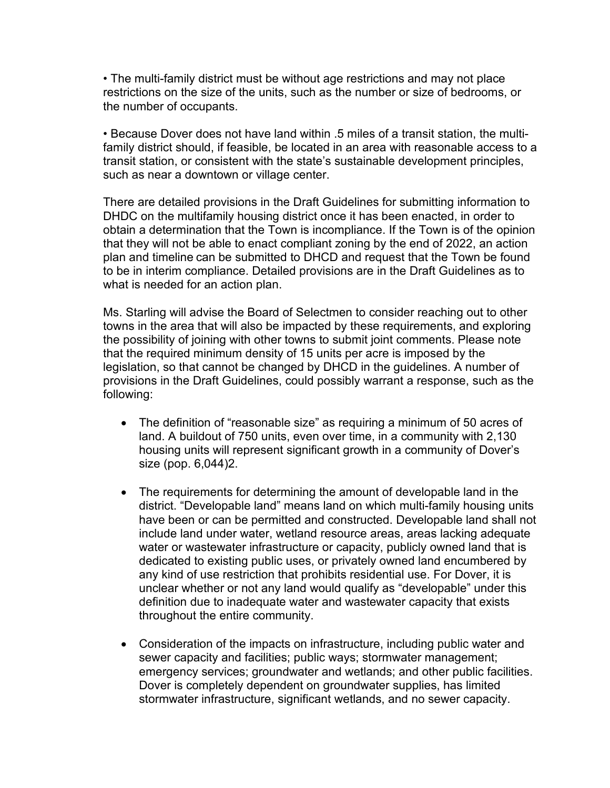• The multi-family district must be without age restrictions and may not place restrictions on the size of the units, such as the number or size of bedrooms, or the number of occupants.

• Because Dover does not have land within .5 miles of a transit station, the multifamily district should, if feasible, be located in an area with reasonable access to a transit station, or consistent with the state's sustainable development principles, such as near a downtown or village center.

There are detailed provisions in the Draft Guidelines for submitting information to DHDC on the multifamily housing district once it has been enacted, in order to obtain a determination that the Town is incompliance. If the Town is of the opinion that they will not be able to enact compliant zoning by the end of 2022, an action plan and timeline can be submitted to DHCD and request that the Town be found to be in interim compliance. Detailed provisions are in the Draft Guidelines as to what is needed for an action plan.

Ms. Starling will advise the Board of Selectmen to consider reaching out to other towns in the area that will also be impacted by these requirements, and exploring the possibility of joining with other towns to submit joint comments. Please note that the required minimum density of 15 units per acre is imposed by the legislation, so that cannot be changed by DHCD in the guidelines. A number of provisions in the Draft Guidelines, could possibly warrant a response, such as the following:

- The definition of "reasonable size" as requiring a minimum of 50 acres of land. A buildout of 750 units, even over time, in a community with 2,130 housing units will represent significant growth in a community of Dover's size (pop. 6,044)2.
- The requirements for determining the amount of developable land in the district. "Developable land" means land on which multi-family housing units have been or can be permitted and constructed. Developable land shall not include land under water, wetland resource areas, areas lacking adequate water or wastewater infrastructure or capacity, publicly owned land that is dedicated to existing public uses, or privately owned land encumbered by any kind of use restriction that prohibits residential use. For Dover, it is unclear whether or not any land would qualify as "developable" under this definition due to inadequate water and wastewater capacity that exists throughout the entire community.
- Consideration of the impacts on infrastructure, including public water and sewer capacity and facilities; public ways; stormwater management; emergency services; groundwater and wetlands; and other public facilities. Dover is completely dependent on groundwater supplies, has limited stormwater infrastructure, significant wetlands, and no sewer capacity.